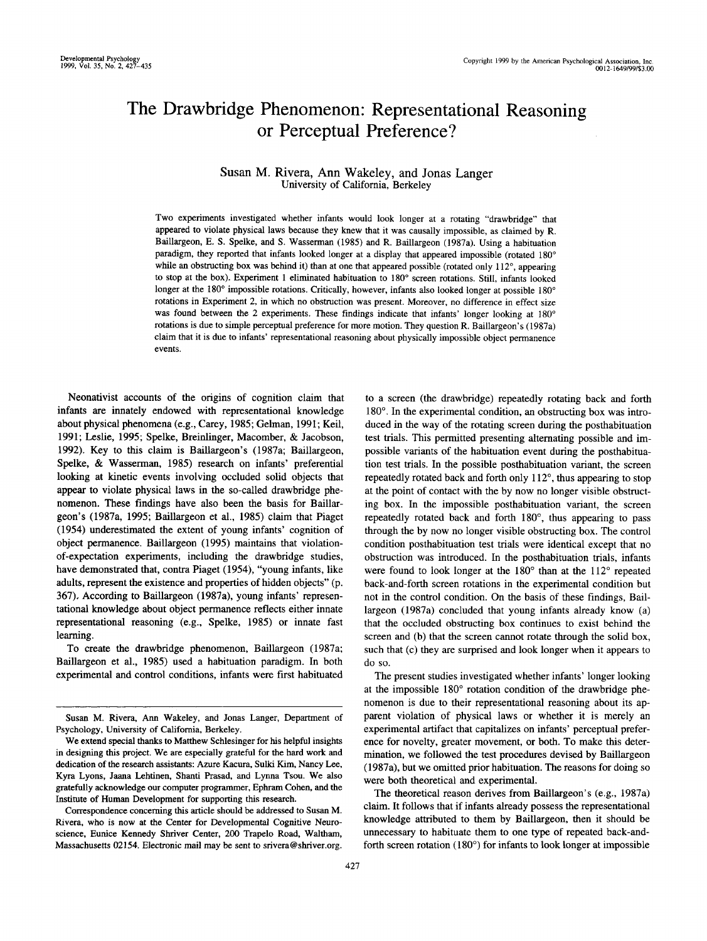# The Drawbridge Phenomenon: Representational Reasoning or Perceptual Preference?

## Susan M. Rivera, Ann Wakeley, and Jonas Langer University of California, Berkeley

Two experiments investigated whether infants would look longer at a rotating "drawbridge" that appeared to violate physical laws because they knew that it was causally impossible, as claimed by R. Baillargeon, E. S. Spelke, and S. Wasserman (1985) and R. Baillargeon (1987a). Using a habituation paradigm, they reported that infants looked longer at a display that appeared impossible (rotated 180° while an obstructing box was behind it) than at one that appeared possible (rotated only  $112^{\circ}$ , appearing to stop at the box). Experiment 1 eliminated habituation to 180° screen rotations. Still, infants looked longer at the 180° impossible rotations. Critically, however, infants also looked longer at possible 180° rotations in Experiment 2, in which no obstruction was present. Moreover, no difference in effect size was found between the 2 experiments. These findings indicate that infants' longer looking at 180° rotations is due to simple perceptual preference for more motion. They question R. Baillargeon's (1987a) claim that it is due to infants' representational reasoning about physically impossible object permanence events.

Neonativist accounts of the origins of cognition claim that infants are innately endowed with representational knowledge about physical phenomena (e.g., Carey, 1985; Gelman, 1991; Keil, 1991; Leslie, 1995; Spelke, Breinlinger, Macomber, & Jacobson, 1992). Key to this claim is Baillargeon's (1987a; Baillargeon, Spelke, & Wasserman, 1985) research on infants' preferential looking at kinetic events involving occluded solid objects that appear to violate physical laws in the so-called drawbridge phenomenon. These findings have also been the basis for Baillargeon's (1987a, 1995; Baillargeon et al., 1985) claim that Piaget (1954) underestimated the extent of young infants' cognition of object permanence. Baillargeon (1995) maintains that violationof-expectation experiments, including the drawbridge studies, have demonstrated that, contra Piaget (1954), "young infants, like adults, represent the existence and properties of hidden objects" (p. 367). According to Baillargeon (1987a), young infants' representational knowledge about object permanence reflects either innate representational reasoning (e.g., Spelke, 1985) or innate fast learning.

To create the drawbridge phenomenon, Baillargeon (1987a; Baillargeon et al., 1985) used a habituation paradigm. In both experimental and control conditions, infants were first habituated

Correspondence concerning this article should be addressed to Susan M. Rivera, who is now at the Center for Developmental Cognitive Neuroscience, Eunice Kennedy Shriver Center, 200 Trapelo Road, Waltham, Massachusetts 02154. Electronic mail may be sent to srivera@shriver.org.

to a screen (the drawbridge) repeatedly rotating back and forth 180°. In the experimental condition, an obstructing box was introduced in the way of the rotating screen during the posthabituation test trials. This permitted presenting alternating possible and impossible variants of the habituation event during the posthabituation test trials. In the possible posthabituation variant, the screen repeatedly rotated back and forth only 112°, thus appearing to stop at the point of contact with the by now no longer visible obstructing box. In the impossible posthabituation variant, the screen repeatedly rotated back and forth 180°, thus appearing to pass through the by now no longer visible obstructing box. The control condition posthabituation test trials were identical except that no obstruction was introduced. In the posthabituation trials, infants were found to look longer at the 180° than at the 112° repeated back-and-forth screen rotations in the experimental condition but not in the control condition. On the basis of these findings, Baillargeon (1987a) concluded that young infants already know (a) that the occluded obstructing box continues to exist behind the screen and (b) that the screen cannot rotate through the solid box, such that (c) they are surprised and look longer when it appears to do so.

The present studies investigated whether infants' longer looking at the impossible 180° rotation condition of the drawbridge phenomenon is due to their representational reasoning about its apparent violation of physical laws or whether it is merely an experimental artifact that capitalizes on infants' perceptual preference for novelty, greater movement, or both. To make this determination, we followed the test procedures devised by Baillargeon (1987a), but we omitted prior habituation. The reasons for doing so were both theoretical and experimental.

The theoretical reason derives from Baillargeon's (e.g., 1987a) claim. It follows that if infants already possess the representational knowledge attributed to them by Baillargeon, then it should be unnecessary to habituate them to one type of repeated back-andforth screen rotation (180°) for infants to look longer at impossible

Susan M. Rivera, Ann Wakeley, and Jonas Langer, Department of Psychology, University of California, Berkeley.

We extend special thanks to Matthew Schlesinger for his helpful insights in designing this project. We are especially grateful for the hard work and dedication of the research assistants: Azure Kacura, Sulki Kim, Nancy Lee, Kyra Lyons, Jaana Lehtinen, Shanti Prasad, and Lynna Tsou. We also gratefully acknowledge our computer programmer, Ephram Cohen, and the Institute of Human Development for supporting this research.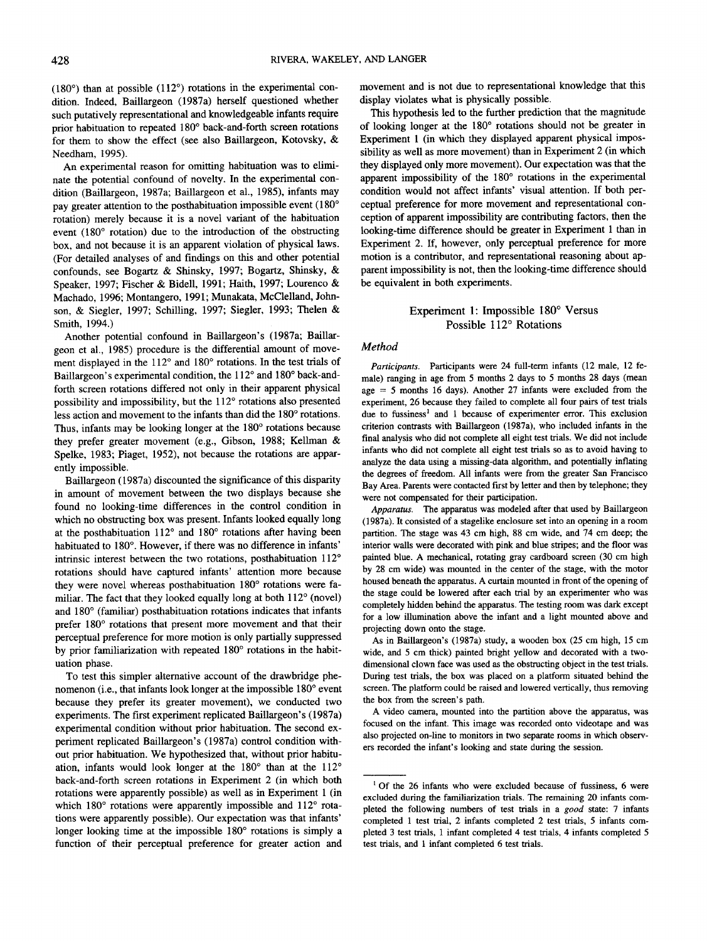(180°) than at possible (112°) rotations in the experimental condition. Indeed, Baillargeon (1987a) herself questioned whether such putatively representational and knowledgeable infants require prior habituation to repeated 180° back-and-forth screen rotations for them to show the effect (see also Baillargeon, Kotovsky, & Needham, 1995).

An experimental reason for omitting habituation was to eliminate the potential confound of novelty. In the experimental condition (Baillargeon, 1987a; Baillargeon et al., 1985), infants may pay greater attention to the posthabituation impossible event (180° rotation) merely because it is a novel variant of the habituation event (180° rotation) due to the introduction of the obstructing box, and not because it is an apparent violation of physical laws. (For detailed analyses of and findings on this and other potential confounds, see Bogartz & Shinsky, 1997; Bogartz, Shinsky, & Speaker, 1997; Fischer & Bidell, 1991; Haith, 1997; Lourenco & Machado, 1996; Montangero, 1991; Munakata, McClelland, Johnson, & Siegler, 1997; Schilling, 1997; Siegler, 1993; Thelen & Smith, 1994.)

Another potential confound in Baillargeon's (1987a; Baillargeon et al., 1985) procedure is the differential amount of movement displayed in the 112° and 180° rotations. In the test trials of Baillargeon's experimental condition, the 112° and 180° back-andforth screen rotations differed not only in their apparent physical possibility and impossibility, but the 112° rotations also presented less action and movement to the infants than did the 180° rotations. Thus, infants may be looking longer at the 180° rotations because they prefer greater movement (e.g., Gibson, 1988; Kellman & Spelke, 1983; Piaget, 1952), not because the rotations are apparently impossible.

Baillargeon (1987a) discounted the significance of this disparity in amount of movement between the two displays because she found no looking-time differences in the control condition in which no obstructing box was present. Infants looked equally long at the posthabituation 112° and 180° rotations after having been habituated to 180°. However, if there was no difference in infants' intrinsic interest between the two rotations, posthabituation 112° rotations should have captured infants' attention more because they were novel whereas posthabituation 180° rotations were familiar. The fact that they looked equally long at both 112° (novel) and 180° (familiar) posthabituation rotations indicates that infants prefer 180° rotations that present more movement and that their perceptual preference for more motion is only partially suppressed by prior familiarization with repeated 180° rotations in the habituation phase.

To test this simpler alternative account of the drawbridge phenomenon (i.e., that infants look longer at the impossible 180° event because they prefer its greater movement), we conducted two experiments. The first experiment replicated Baillargeon's (1987a) experimental condition without prior habituation. The second experiment replicated Baillargeon's (1987a) control condition without prior habituation. We hypothesized that, without prior habituation, infants would look longer at the 180° than at the 112° back-and-forth screen rotations in Experiment 2 (in which both rotations were apparently possible) as well as in Experiment 1 (in which 180° rotations were apparently impossible and 112° rotations were apparently possible). Our expectation was that infants' longer looking time at the impossible 180° rotations is simply a function of their perceptual preference for greater action and movement and is not due to representational knowledge that this display violates what is physically possible.

This hypothesis led to the further prediction that the magnitude of looking longer at the 180° rotations should not be greater in Experiment 1 (in which they displayed apparent physical impossibility as well as more movement) than in Experiment 2 (in which they displayed only more movement). Our expectation was that the apparent impossibility of the 180° rotations in the experimental condition would not affect infants' visual attention. If both perceptual preference for more movement and representational conception of apparent impossibility are contributing factors, then the looking-time difference should be greater in Experiment 1 than in Experiment 2. If, however, only perceptual preference for more motion is a contributor, and representational reasoning about apparent impossibility is not, then the looking-time difference should be equivalent in both experiments.

## Experiment 1: Impossible 180° Versus Possible 112° Rotations

## *Method*

*Participants.* Participants were 24 full-term infants (12 male, 12 female) ranging in age from 5 months 2 days to 5 months 28 days (mean age  $= 5$  months 16 days). Another 27 infants were excluded from the experiment, 26 because they failed to complete all four pairs of test trials due to fussiness<sup>1</sup> and 1 because of experimenter error. This exclusion criterion contrasts with Baillargeon (1987a), who included infants in the final analysis who did not complete all eight test trials. We did not include infants who did not complete all eight test trials so as to avoid having to analyze the data using a missing-data algorithm, and potentially inflating the degrees of freedom. All infants were from the greater San Francisco Bay Area. Parents were contacted first by letter and then by telephone; they were not compensated for their participation.

*Apparatus.* The apparatus was modeled after that used by Baillargeon (1987a). It consisted of a stagelike enclosure set into an opening in a room partition. The stage was 43 cm high, 88 cm wide, and 74 cm deep; the interior walls were decorated with pink and blue stripes; and the floor was painted blue. A mechanical, rotating gray cardboard screen (30 cm high by 28 cm wide) was mounted in the center of the stage, with the motor housed beneath the apparatus. A curtain mounted in front of the opening of the stage could be lowered after each trial by an experimenter who was completely hidden behind the apparatus. The testing room was dark except for a low illumination above the infant and a light mounted above and projecting down onto the stage.

As in Baillargeon's (1987a) study, a wooden box (25 cm high, 15 cm wide, and 5 cm thick) painted bright yellow and decorated with a twodimensional clown face was used as the obstructing object in the test trials. During test trials, the box was placed on a platform situated behind the screen. The platform could be raised and lowered vertically, thus removing the box from the screen's path.

A video camera, mounted into the partition above the apparatus, was focused on the infant. This image was recorded onto videotape and was also projected on-line to monitors in two separate rooms in which observers recorded the infant's looking and state during the session.

<sup>&</sup>lt;sup>1</sup> Of the 26 infants who were excluded because of fussiness, 6 were excluded during the familiarization trials. The remaining 20 infants completed the following numbers of test trials in a *good* state: 7 infants completed 1 test trial, 2 infants completed 2 test trials, 5 infants completed 3 test trials, 1 infant completed 4 test trials, 4 infants completed 5 test trials, and 1 infant completed 6 test trials.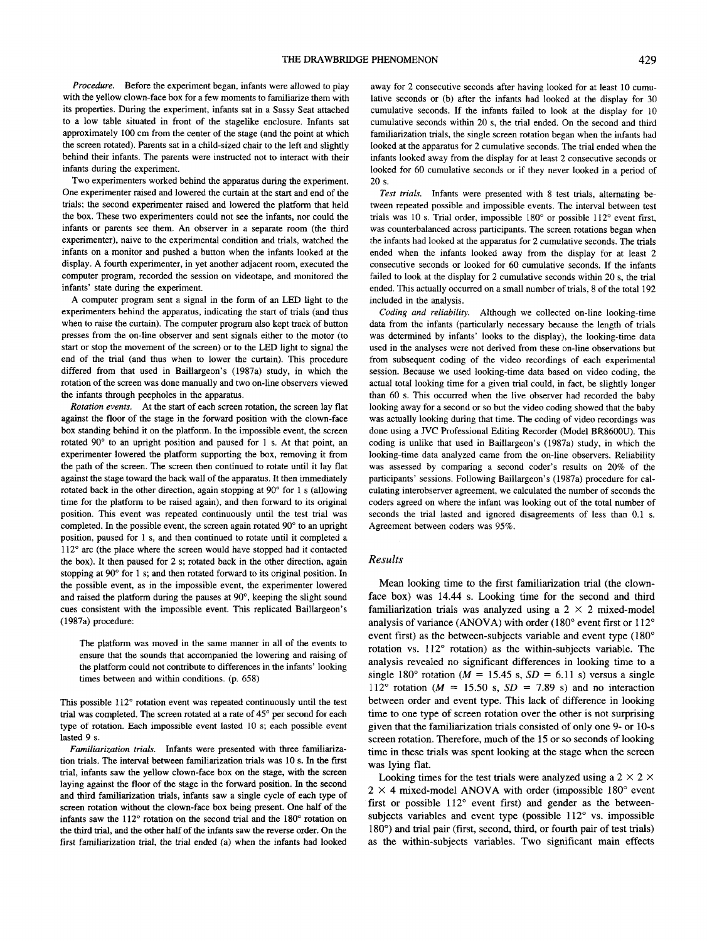*Procedure.* Before the experiment began, infants were allowed to play with the yellow clown-face box for a few moments to familiarize them with its properties. During the experiment, infants sat in a Sassy Seat attached to a low table situated in front of the stagelike enclosure. Infants sat approximately 100 cm from the center of the stage (and the point at which the screen rotated). Parents sat in a child-sized chair to the left and slightly behind their infants. The parents were instructed not to interact with their infants during the experiment.

Two experimenters worked behind the apparatus during the experiment. One experimenter raised and lowered the curtain at the start and end of the trials; the second experimenter raised and lowered the platform that held the box. These two experimenters could not see the infants, nor could the infants or parents see them. An observer in a separate room (the third experimenter), naive to the experimental condition and trials, watched the infants on a monitor and pushed a button when the infants looked at the display. A fourth experimenter, in yet another adjacent room, executed the computer program, recorded the session on videotape, and monitored the infants' state during the experiment.

A computer program sent a signal in the form of an LED light to the experimenters behind the apparatus, indicating the start of trials (and thus when to raise the curtain). The computer program also kept track of button presses from the on-line observer and sent signals either to the motor (to start or stop the movement of the screen) or to the LED light to signal the end of the trial (and thus when to lower the curtain). This procedure differed from that used in Baillargeon's (1987a) study, in which the rotation of the screen was done manually and two on-line observers viewed the infants through peepholes in the apparatus.

*Rotation events.* At the start of each screen rotation, the screen lay flat against the floor of the stage in the forward position with the clown-face box standing behind it on the platform. In the impossible event, the screen rotated 90° to an upright position and paused for 1 s. At that point, an experimenter lowered the platform supporting the box, removing it from the path of the screen. The screen then continued to rotate until it lay flat against the stage toward the back wall of the apparatus. It then immediately rotated back in the other direction, again stopping at 90° for 1 s (allowing time for the platform to be raised again), and then forward to its original position. This event was repeated continuously until the test trial was completed. In the possible event, the screen again rotated 90° to an upright position, paused for 1 s, and then continued to rotate until it completed a 112° arc (the place where the screen would have stopped had it contacted the box). It then paused for 2 s; rotated back in the other direction, again stopping at 90° for 1 s; and then rotated forward to its original position. In the possible event, as in the impossible event, the experimenter lowered and raised the platform during the pauses at 90°, keeping the slight sound cues consistent with the impossible event. This replicated Baillargeon's (1987a) procedure:

The platform was moved in the same manner in all of the events to ensure that the sounds that accompanied the lowering and raising of the platform could not contribute to differences in the infants' looking times between and within conditions, (p. 658)

This possible 112° rotation event was repeated continuously until the test trial was completed. The screen rotated at a rate of 45° per second for each type of rotation. Each impossible event lasted 10 s; each possible event lasted 9 s.

*Familiarization trials.* Infants were presented with three familiarization trials. The interval between familiarization trials was 10 s. In the first trial, infants saw the yellow clown-face box on the stage, with the screen laying against the floor of the stage in the forward position. In the second and third familiarization trials, infants saw a single cycle of each type of screen rotation without the clown-face box being present. One half of the infants saw the 112° rotation on the second trial and the 180° rotation on the third trial, and the other half of the infants saw the reverse order. On the first familiarization trial, the trial ended (a) when the infants had looked away for 2 consecutive seconds after having looked for at least 10 cumulative seconds or (b) after the infants had looked at the display for 30 cumulative seconds. If the infants failed to look at the display for 10 cumulative seconds within 20 s, the trial ended. On the second and third familiarization trials, the single screen rotation began when the infants had looked at the apparatus for 2 cumulative seconds. The trial ended when the infants looked away from the display for at least 2 consecutive seconds or looked for 60 cumulative seconds or if they never looked in a period of 20 s.

*Test trials.* Infants were presented with 8 test trials, alternating between repeated possible and impossible events. The interval between test trials was 10 s. Trial order, impossible 180° or possible 112° event first, was counterbalanced across participants. The screen rotations began when the infants had looked at the apparatus for 2 cumulative seconds. The trials ended when the infants looked away from the display for at least 2 consecutive seconds or looked for 60 cumulative seconds. If the infants failed to look at the display for 2 cumulative seconds within 20 s, the trial ended. This actually occurred on a small number of trials, 8 of the total 192 included in the analysis.

*Coding and reliability.* Although we collected on-line looking-time data from the infants (particularly necessary because the length of trials was determined by infants' looks to the display), the looking-time data used in the analyses were not derived from these on-line observations but from subsequent coding of the video recordings of each experimental session. Because we used looking-time data based on video coding, the actual total looking time for a given trial could, in fact, be slightly longer than 60 s. This occurred when the live observer had recorded the baby looking away for a second or so but the video coding showed that the baby was actually looking during that time. The coding of video recordings was done using a JVC Professional Editing Recorder (Model BR8600U). This coding is unlike that used in Baillargeon's (1987a) study, in which the looking-time data analyzed came from the on-line observers. Reliability was assessed by comparing a second coder's results on 20% of the participants' sessions. Following Baillargeon's (1987a) procedure for calculating interobserver agreement, we calculated the number of seconds the coders agreed on where the infant was looking out of the total number of seconds the trial lasted and ignored disagreements of less than 0.1 s. Agreement between coders was 95%.

### *Results*

Mean looking time to the first familiarization trial (the clownface box) was 14.44 s. Looking time for the second and third familiarization trials was analyzed using a  $2 \times 2$  mixed-model analysis of variance (ANOVA) with order (180° event first or 112° event first) as the between-subjects variable and event type (180° rotation vs. 112° rotation) as the within-subjects variable. The analysis revealed no significant differences in looking time to a single 180° rotation ( $M = 15.45$  s,  $SD = 6.11$  s) versus a single 112° rotation ( $M = 15.50$  s,  $SD = 7.89$  s) and no interaction between order and event type. This lack of difference in looking time to one type of screen rotation over the other is not surprising given that the familiarization trials consisted of only one 9- or 10-s screen rotation. Therefore, much of the 15 or so seconds of looking time in these trials was spent looking at the stage when the screen was lying flat.

Looking times for the test trials were analyzed using a 2  $\times$  2  $\times$  $2 \times 4$  mixed-model ANOVA with order (impossible 180 $^{\circ}$  event first or possible 112° event first) and gender as the betweensubjects variables and event type (possible 112° vs. impossible 180°) and trial pair (first, second, third, or fourth pair of test trials) as the within-subjects variables. Two significant main effects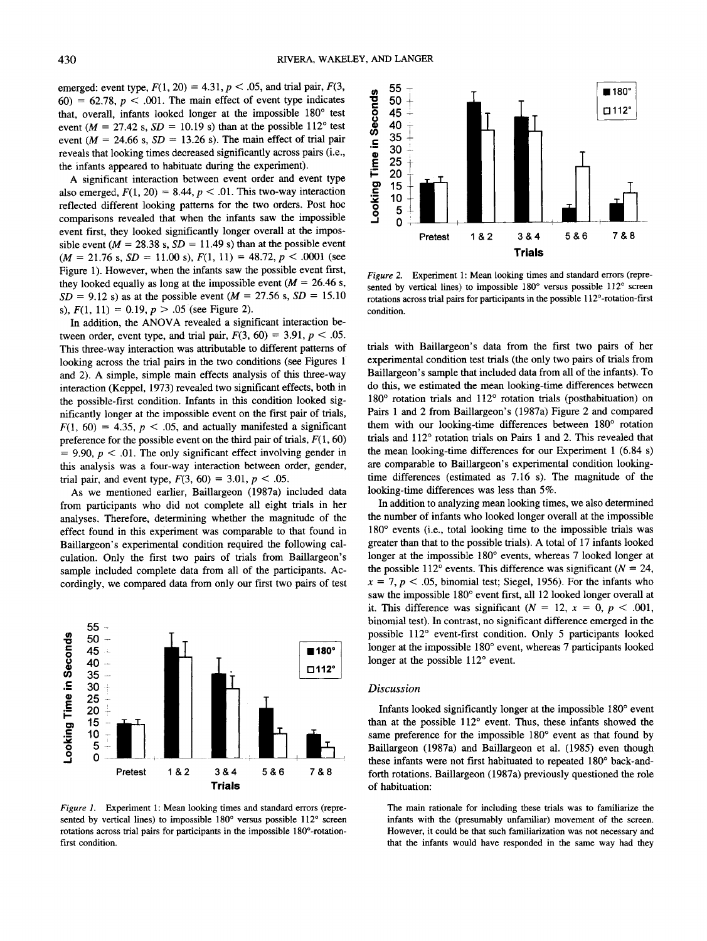emerged: event type,  $F(1, 20) = 4.31$ ,  $p < .05$ , and trial pair,  $F(3, 1)$  $60$ ) =  $62.78$ ,  $p < .001$ . The main effect of event type indicates that, overall, infants looked longer at the impossible 180° test event ( $M = 27.42$  s,  $SD = 10.19$  s) than at the possible  $112^{\circ}$  test event ( $M = 24.66$  s,  $SD = 13.26$  s). The main effect of trial pair reveals that looking times decreased significantly across pairs (i.e., the infants appeared to habituate during the experiment).

A significant interaction between event order and event type also emerged,  $F(1, 20) = 8.44$ ,  $p < .01$ . This two-way interaction reflected different looking patterns for the two orders. Post hoc comparisons revealed that when the infants saw the impossible event first, they looked significantly longer overall at the impossible event ( $M = 28.38$  s,  $SD = 11.49$  s) than at the possible event  $(M = 21.76 \text{ s}, SD = 11.00 \text{ s}), F(1, 11) = 48.72, p < .0001 \text{ (see)}$ Figure 1). However, when the infants saw the possible event first, they looked equally as long at the impossible event  $(M = 26.46 s)$ , *SD* = 9.12 s) as at the possible event ( $M = 27.56$  s,  $SD = 15.10$ s),  $F(1, 11) = 0.19$ ,  $p > .05$  (see Figure 2).

In addition, the ANOVA revealed a significant interaction between order, event type, and trial pair,  $F(3, 60) = 3.91$ ,  $p < .05$ . This three-way interaction was attributable to different patterns of looking across the trial pairs in the two conditions (see Figures 1) and 2). A simple, simple main effects analysis of this three-way interaction (Keppel, 1973) revealed two significant effects, both in the possible-first condition. Infants in this condition looked significantly longer at the impossible event on the first pair of trials,  $F(1, 60) = 4.35, p < .05$ , and actually manifested a significant preference for the possible event on the third pair of trials,  $F(1, 60)$  $= 9.90, p < .01$ . The only significant effect involving gender in this analysis was a four-way interaction between order, gender, trial pair, and event type,  $F(3, 60) = 3.01, p < .05$ .

As we mentioned earlier, Baillargeon (1987a) included data from participants who did not complete all eight trials in her analyses. Therefore, determining whether the magnitude of the effect found in this experiment was comparable to that found in Baillargeon's experimental condition required the following calculation. Only the first two pairs of trials from Baillargeon's sample included complete data from all of the participants. Accordingly, we compared data from only our first two pairs of test



*Figure 1.* Experiment 1: Mean looking times and standard errors (represented by vertical lines) to impossible 180° versus possible 112° screen rotations across trial pairs for participants in the impossible 180°-rotationfirst condition.



*Figure 2.* Experiment 1: Mean looking times and standard errors (represented by vertical lines) to impossible 180° versus possible 112° screen rotations across trial pairs for participants in the possible 112°-rotation-first condition.

trials with Baillargeon's data from the first two pairs of her experimental condition test trials (the only two pairs of trials from Baillargeon's sample that included data from all of the infants). To do this, we estimated the mean looking-time differences between 180° rotation trials and 112° rotation trials (posthabituation) on Pairs 1 and 2 from Baillargeon's (1987a) Figure 2 and compared them with our looking-time differences between 180° rotation trials and 112° rotation trials on Pairs 1 and 2. This revealed that the mean looking-time differences for our Experiment 1 (6.84 s) are comparable to Baillargeon's experimental condition lookingtime differences (estimated as 7.16 s). The magnitude of the looking-time differences was less than 5%.

In addition to analyzing mean looking times, we also determined the number of infants who looked longer overall at the impossible 180° events (i.e., total looking time to the impossible trials was greater than that to the possible trials). A total of 17 infants looked longer at the impossible 180° events, whereas 7 looked longer at the possible  $112^{\circ}$  events. This difference was significant  $(N = 24)$ ,  $x = 7$ ,  $p < .05$ , binomial test; Siegel, 1956). For the infants who saw the impossible 180° event first, all 12 looked longer overall at it. This difference was significant  $(N = 12, x = 0, p < .001,$ binomial test). In contrast, no significant difference emerged in the possible 112° event-first condition. Only 5 participants looked longer at the impossible 180° event, whereas 7 participants looked longer at the possible 112° event.

## *Discussion*

Infants looked significantly longer at the impossible 180° event than at the possible 112° event. Thus, these infants showed the same preference for the impossible 180° event as that found by Baillargeon (1987a) and Baillargeon et al. (1985) even though these infants were not first habituated to repeated 180° back-andforth rotations. Baillargeon (1987a) previously questioned the role of habituation:

The main rationale for including these trials was to familiarize the infants with the (presumably unfamiliar) movement of the screen. However, it could be that such familiarization was not necessary and that the infants would have responded in the same way had they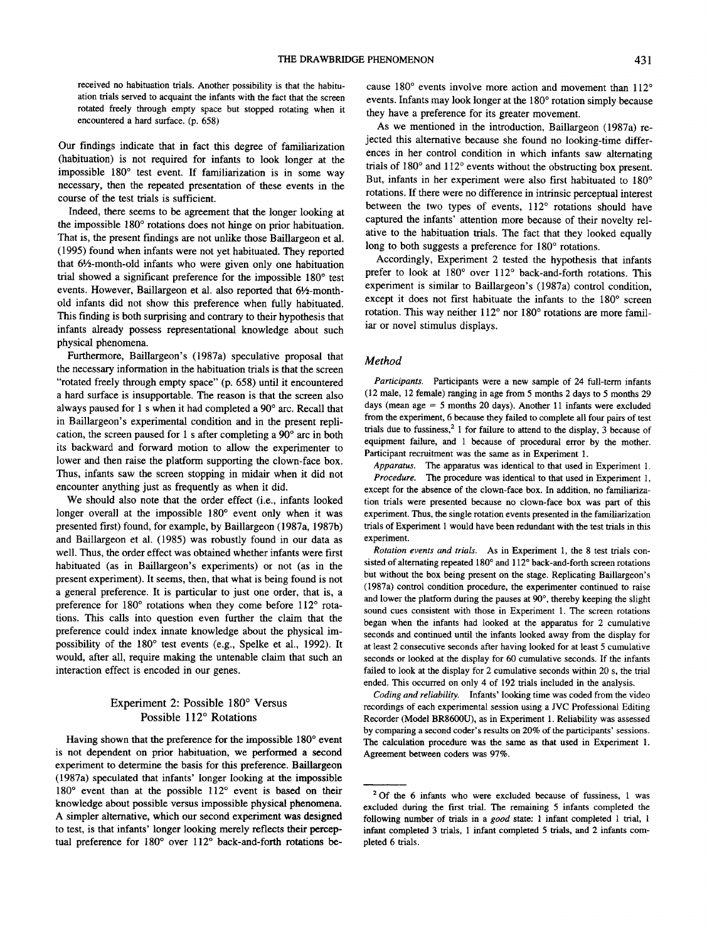received no habituation trials. Another possibility is that the habituation trials served to acquaint the infants with the fact that the screen rotated freely through empty space but stopped rotating when it encountered a hard surface, (p. 658)

Our findings indicate that in fact this degree of familiarization (habituation) is not required for infants to look longer at the impossible 180° test event. If familiarization is in some way necessary, then the repeated presentation of these events in the course of the test trials is sufficient.

Indeed, there seems to be agreement that the longer looking at the impossible 180° rotations does not hinge on prior habituation. That is, the present findings are not unlike those Baillargeon et al. (1995) found when infants were not yet habituated. They reported that  $6\frac{1}{2}$ -month-old infants who were given only one habituation trial showed a significant preference for the impossible 180° test events. However, Baillargeon et al. also reported that 6'/2-monthold infants did not show this preference when fully habituated. This finding is both surprising and contrary to their hypothesis that infants already possess representational knowledge about such physical phenomena.

Furthermore, Baillargeon's (1987a) speculative proposal that the necessary information in the habituation trials is that the screen "rotated freely through empty space" (p. 658) until it encountered a hard surface is insupportable. The reason is that the screen also always paused for 1 s when it had completed a 90° arc. Recall that in Baillargeon's experimental condition and in the present replication, the screen paused for 1 s after completing a 90° arc in both its backward and forward motion to allow the experimenter to lower and then raise the platform supporting the clown-face box. Thus, infants saw the screen stopping in midair when it did not encounter anything just as frequently as when it did.

We should also note that the order effect (i.e., infants looked longer overall at the impossible 180° event only when it was presented first) found, for example, by Baillargeon (1987a, 1987b) and Baillargeon et al. (1985) was robustly found in our data as well. Thus, the order effect was obtained whether infants were first habituated (as in Baillargeon's experiments) or not (as in the present experiment). It seems, then, that what is being found is not a general preference. It is particular to just one order, that is, a preference for 180° rotations when they come before 112° rotations. This calls into question even further the claim that the preference could index innate knowledge about the physical impossibility of the 180° test events (e.g., Spelke et al., 1992). It would, after all, require making the untenable claim that such an interaction effect is encoded in our genes.

# Experiment 2: Possible 180° Versus Possible 112° Rotations

Having shown that the preference for the impossible 180° event is not dependent on prior habituation, we performed a second experiment to determine the basis for this preference. Baillargeon (1987a) speculated that infants' longer looking at the impossible 180° event than at the possible 112° event is based on their knowledge about possible versus impossible physical phenomena. A simpler alternative, which our second experiment was designed to test, is that infants' longer looking merely reflects their perceptual preference for 180° over 112° back-and-forth rotations because 180° events involve more action and movement than 112° events. Infants may look longer at the 180° rotation simply because they have a preference for its greater movement.

As we mentioned in the introduction, Baillargeon (1987a) rejected this alternative because she found no looking-time differences in her control condition in which infants saw alternating trials of 180° and 112° events without the obstructing box present. But, infants in her experiment were also first habituated to 180° rotations. If there were no difference in intrinsic perceptual interest between the two types of events, 112° rotations should have captured the infants' attention more because of their novelty relative to the habituation trials. The fact that they looked equally long to both suggests a preference for 180° rotations.

Accordingly, Experiment 2 tested the hypothesis that infants prefer to look at 180° over 112° back-and-forth rotations. This experiment is similar to Baillargeon's (1987a) control condition, except it does not first habituate the infants to the 180° screen rotation. This way neither 112° nor 180° rotations are more familiar or novel stimulus displays.

#### *Method*

*Participants.* Participants were a new sample of 24 full-term infants (12 male, 12 female) ranging in age from 5 months 2 days to 5 months 29 days (mean age  $= 5$  months 20 days). Another 11 infants were excluded from the experiment, 6 because they failed to complete all four pairs of test trials due to fussiness,<sup>2</sup> 1 for failure to attend to the display, 3 because of equipment failure, and 1 because of procedural error by the mother. Participant recruitment was the same as in Experiment 1.

*Apparatus.* The apparatus was identical to that used in Experiment 1. *Procedure.* The procedure was identical to that used in Experiment 1, except for the absence of the clown-face box. In addition, no familiarization trials were presented because no clown-face box was part of this experiment. Thus, the single rotation events presented in the familiarization trials of Experiment 1 would have been redundant with the test trials in this experiment.

*Rotation events and trials.* As in Experiment 1, the 8 test trials consisted of alternating repeated 180° and 112° back-and-forth screen rotations but without the box being present on the stage. Replicating Baillargeon's (1987a) control condition procedure, the experimenter continued to raise and lower the platform during the pauses at 90°, thereby keeping the slight sound cues consistent with those in Experiment 1. The screen rotations began when the infants had looked at the apparatus for 2 cumulative seconds and continued until the infants looked away from the display for at least 2 consecutive seconds after having looked for at least 5 cumulative seconds or looked at the display for 60 cumulative seconds. If the infants failed to look at the display for 2 cumulative seconds within 20 s, the trial ended. This occurred on only 4 of 192 trials included in the analysis.

*Coding and reliability.* Infants' looking time was coded from the video recordings of each experimental session using a JVC Professional Editing Recorder (Model BR8600U), as in Experiment 1. Reliability was assessed by comparing a second coder's results on 20% of the participants' sessions. The calculation procedure was the same as that used in Experiment 1. Agreement between coders was 97%.

<sup>&</sup>lt;sup>2</sup> Of the 6 infants who were excluded because of fussiness, 1 was excluded during the first trial. The remaining 5 infants completed the following number of trials in a *good* state: 1 infant completed 1 trial, 1 infant completed 3 trials, 1 infant completed 5 trials, and 2 infants completed 6 trials.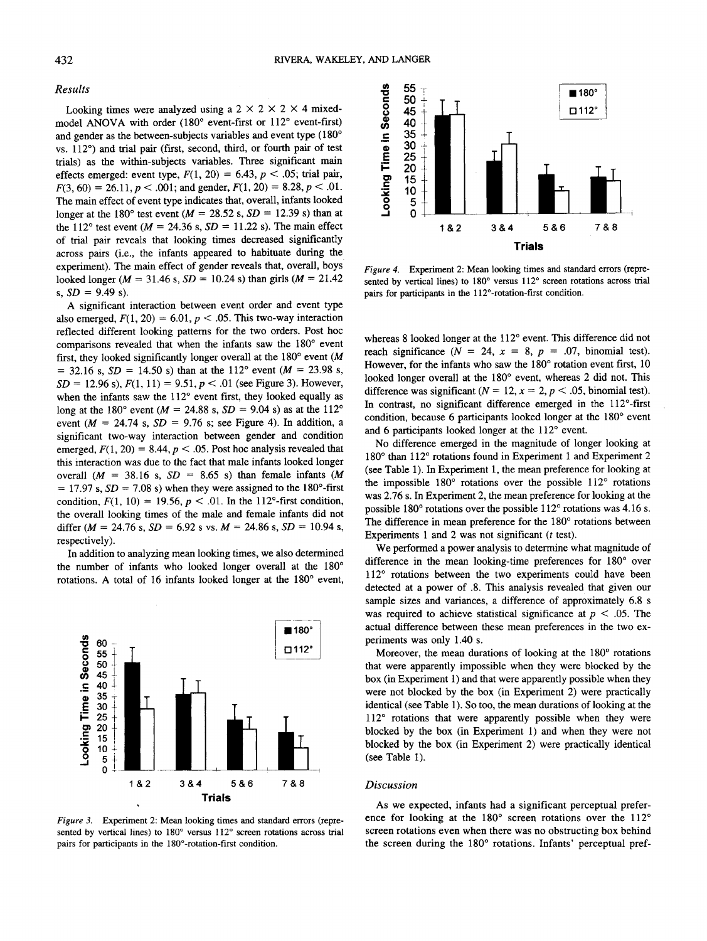#### *Results*

Looking times were analyzed using a  $2 \times 2 \times 2 \times 4$  mixedmodel ANOVA with order (180° event-first or 112° event-first) and gender as the between-subjects variables and event type (180° vs. 112°) and trial pair (first, second, third, or fourth pair of test trials) as the within-subjects variables. Three significant main effects emerged: event type,  $F(1, 20) = 6.43$ ,  $p < .05$ ; trial pair,  $F(3, 60) = 26.11, p < .001$ ; and gender,  $F(1, 20) = 8.28, p < .01$ . The main effect of event type indicates that, overall, infants looked longer at the 180° test event ( $M = 28.52$  s,  $SD = 12.39$  s) than at the 112° test event ( $M = 24.36$  s,  $SD = 11.22$  s). The main effect of trial pair reveals that looking times decreased significantly across pairs (i.e., the infants appeared to habituate during the experiment). The main effect of gender reveals that, overall, boys looked longer ( $M = 31.46$  s,  $SD = 10.24$  s) than girls ( $M = 21.42$ ) s, *SD =* 9.49 s).

A significant interaction between event order and event type also emerged,  $F(1, 20) = 6.01$ ,  $p < .05$ . This two-way interaction reflected different looking patterns for the two orders. Post hoc comparisons revealed that when the infants saw the 180° event first, they looked significantly longer overall at the 180° event *(M*  $= 32.16$  s,  $SD = 14.50$  s) than at the 112° event ( $M = 23.98$  s,  $SD = 12.96$  s),  $F(1, 11) = 9.51$ ,  $p < .01$  (see Figure 3). However, when the infants saw the 112° event first, they looked equally as long at the 180° event ( $M = 24.88$  s,  $SD = 9.04$  s) as at the 112° event  $(M = 24.74 \text{ s}, SD = 9.76 \text{ s}; \text{ see Figure 4}).$  In addition, a significant two-way interaction between gender and condition emerged,  $F(1, 20) = 8.44$ ,  $p < .05$ . Post hoc analysis revealed that this interaction was due to the fact that male infants looked longer overall  $(M = 38.16 \text{ s}, SD = 8.65 \text{ s})$  than female infants  $(M$  $= 17.97$  s,  $SD = 7.08$  s) when they were assigned to the 180<sup>o</sup>-first condition,  $F(1, 10) = 19.56, p < .01$ . In the 112°-first condition, the overall looking times of the male and female infants did not differ  $(M = 24.76 \text{ s}, SD = 6.92 \text{ s} \text{ vs. } M = 24.86 \text{ s}, SD = 10.94 \text{ s},$ respectively).

In addition to analyzing mean looking times, we also determined the number of infants who looked longer overall at the 180° rotations. A total of 16 infants looked longer at the 180° event,



*Figure 3.* Experiment 2: Mean looking times and standard errors (represented by vertical lines) to 180° versus 112° screen rotations across trial pairs for participants in the 180°-rotation-first condition.



*Figure 4.* Experiment 2: Mean looking times and standard errors (represented by vertical lines) to 180° versus 112° screen rotations across trial pairs for participants in the 112°-rotation-first condition.

whereas 8 looked longer at the 112° event. This difference did not reach significance ( $N = 24$ ,  $x = 8$ ,  $p = .07$ , binomial test). However, for the infants who saw the 180° rotation event first, 10 looked longer overall at the 180° event, whereas 2 did not. This difference was significant  $(N = 12, x = 2, p < .05,$  binomial test). In contrast, no significant difference emerged in the 112°-first condition, because 6 participants looked longer at the 180° event and 6 participants looked longer at the 112° event.

No difference emerged in the magnitude of longer looking at 180° than 112° rotations found in Experiment 1 and Experiment 2 (see Table 1). In Experiment 1, the mean preference for looking at the impossible 180° rotations over the possible 112° rotations was 2.76 s. In Experiment 2, the mean preference for looking at the possible 180° rotations over the possible 112° rotations was 4.16 s. The difference in mean preference for the 180° rotations between Experiments 1 and 2 was not significant *(t* test).

We performed a power analysis to determine what magnitude of difference in the mean looking-time preferences for 180° over 112° rotations between the two experiments could have been detected at a power of .8. This analysis revealed that given our sample sizes and variances, a difference of approximately 6.8 s was required to achieve statistical significance at *p <* .05. The actual difference between these mean preferences in the two experiments was only 1.40 s.

Moreover, the mean durations of looking at the 180° rotations that were apparently impossible when they were blocked by the box (in Experiment 1) and that were apparently possible when they were not blocked by the box (in Experiment 2) were practically identical (see Table 1). So too, the mean durations of looking at the 112° rotations that were apparently possible when they were blocked by the box (in Experiment 1) and when they were not blocked by the box (in Experiment 2) were practically identical (see Table 1).

## *Discussion*

As we expected, infants had a significant perceptual preference for looking at the 180° screen rotations over the 112° screen rotations even when there was no obstructing box behind the screen during the 180° rotations. Infants' perceptual pref-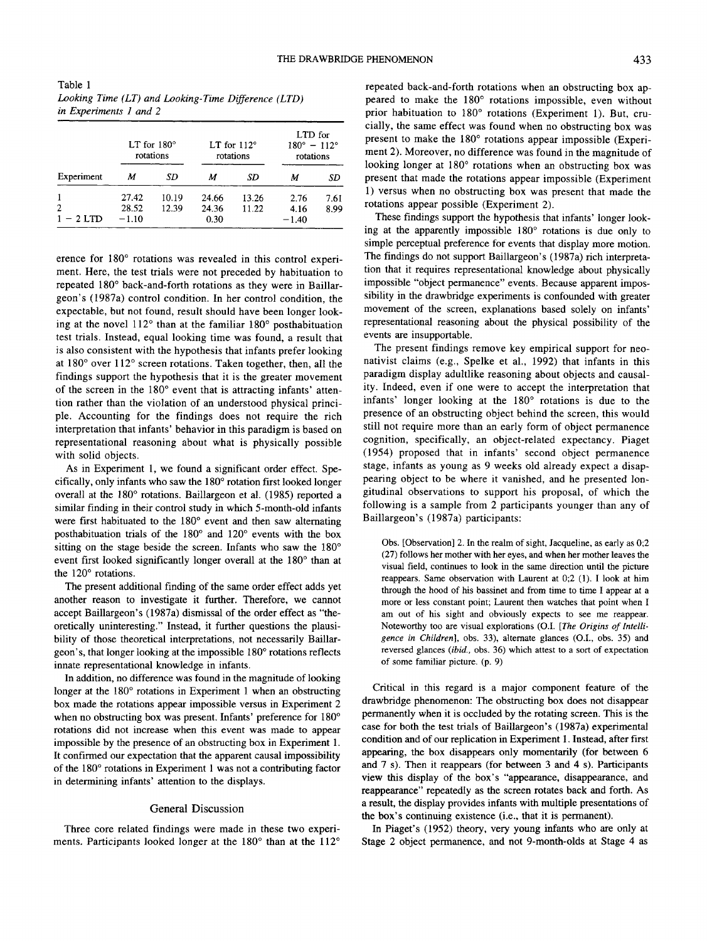Table 1 *Looking Time (LT) and Looking-Time Difference (LTD) in Experiments 1 and 2*

| Experiment       | LT for $180^\circ$<br>rotations |                | LT for $112^\circ$<br>rotations |                | LTD for<br>$180^{\circ} - 112^{\circ}$<br>rotations |              |
|------------------|---------------------------------|----------------|---------------------------------|----------------|-----------------------------------------------------|--------------|
|                  | M                               | SD             | м                               | SD             | M                                                   | SD           |
| 2<br>$1 - 2$ LTD | 27.42<br>28.52<br>$-1.10$       | 10.19<br>12.39 | 24.66<br>24.36<br>0.30          | 13.26<br>11.22 | 2.76<br>4.16<br>$-1.40$                             | 7.61<br>8.99 |

erence for 180° rotations was revealed in this control experiment. Here, the test trials were not preceded by habituation to repeated 180° back-and-forth rotations as they were in Baillargeon's (1987a) control condition. In her control condition, the expectable, but not found, result should have been longer looking at the novel 112° than at the familiar 180° posthabituation test trials. Instead, equal looking time was found, a result that is also consistent with the hypothesis that infants prefer looking at 180° over 112° screen rotations. Taken together, then, all the findings support the hypothesis that it is the greater movement of the screen in the 180° event that is attracting infants' attention rather than the violation of an understood physical principle. Accounting for the findings does not require the rich interpretation that infants' behavior in this paradigm is based on representational reasoning about what is physically possible with solid objects.

As in Experiment 1, we found a significant order effect. Specifically, only infants who saw the 180° rotation first looked longer overall at the 180° rotations. Baillargeon et al. (1985) reported a similar finding in their control study in which 5-month-old infants were first habituated to the 180° event and then saw alternating posthabituation trials of the 180° and 120° events with the box sitting on the stage beside the screen. Infants who saw the 180° event first looked significantly longer overall at the 180° than at the 120° rotations.

The present additional finding of the same order effect adds yet another reason to investigate it further. Therefore, we cannot accept Baillargeon's (1987a) dismissal of the order effect as "theoretically uninteresting." Instead, it further questions the plausibility of those theoretical interpretations, not necessarily Baillargeon's, that longer looking at the impossible 180° rotations reflects innate representational knowledge in infants.

In addition, no difference was found in the magnitude of looking longer at the  $180^\circ$  rotations in Experiment 1 when an obstructing box made the rotations appear impossible versus in Experiment 2 when no obstructing box was present. Infants' preference for 180<sup>°</sup> rotations did not increase when this event was made to appear impossible by the presence of an obstructing box in Experiment 1. It confirmed our expectation that the apparent causal impossibility of the 180° rotations in Experiment 1 was not a contributing factor in determining infants' attention to the displays.

## General Discussion

Three core related findings were made in these two experiments. Participants looked longer at the 180° than at the 112°

repeated back-and-forth rotations when an obstructing box appeared to make the 180° rotations impossible, even without prior habituation to 180° rotations (Experiment 1). But, crucially, the same effect was found when no obstructing box was present to make the 180° rotations appear impossible (Experiment 2). Moreover, no difference was found in the magnitude of looking longer at 180° rotations when an obstructing box was present that made the rotations appear impossible (Experiment 1) versus when no obstructing box was present that made the rotations appear possible (Experiment 2).

These findings support the hypothesis that infants' longer looking at the apparently impossible 180° rotations is due only to simple perceptual preference for events that display more motion. The findings do not support Baillargeon's (1987a) rich interpretation that it requires representational knowledge about physically impossible "object permanence" events. Because apparent impossibility in the drawbridge experiments is confounded with greater movement of the screen, explanations based solely on infants' representational reasoning about the physical possibility of the events are insupportable.

The present findings remove key empirical support for neonativist claims (e.g., Spelke et al., 1992) that infants in this paradigm display adultlike reasoning about objects and causality. Indeed, even if one were to accept the interpretation that infants' longer looking at the 180° rotations is due to the presence of an obstructing object behind the screen, this would still not require more than an early form of object permanence cognition, specifically, an object-related expectancy. Piaget (1954) proposed that in infants' second object permanence stage, infants as young as 9 weeks old already expect a disappearing object to be where it vanished, and he presented longitudinal observations to support his proposal, of which the following is a sample from 2 participants younger than any of Baillargeon's (1987a) participants:

Obs. [Observation] 2. In the realm of sight, Jacqueline, as early as 0;2 (27) follows her mother with her eyes, and when her mother leaves the visual field, continues to look in the same direction until the picture reappears. Same observation with Laurent at 0;2 (1). I look at him through the hood of his bassinet and from time to time I appear at a more or less constant point; Laurent then watches that point when I am out of his sight and obviously expects to see me reappear. Noteworthy too are visual explorations (O.I. *[The Origins of Intelligence in Children],* obs. 33), alternate glances (O.I., obs. 35) and reversed glances *{ibid.,* obs. 36) which attest to a sort of expectation of some familiar picture, (p. 9)

Critical in this regard is a major component feature of the drawbridge phenomenon: The obstructing box does not disappear permanently when it is occluded by the rotating screen. This is the case for both the test trials of Baillargeon's (1987a) experimental condition and of our replication in Experiment 1. Instead, after first appearing, the box disappears only momentarily (for between 6 and 7 s). Then it reappears (for between 3 and 4 s). Participants view this display of the box's "appearance, disappearance, and reappearance" repeatedly as the screen rotates back and forth. As a result, the display provides infants with multiple presentations of the box's continuing existence (i.e., that it is permanent).

In Piaget's (1952) theory, very young infants who are only at Stage 2 object permanence, and not 9-month-olds at Stage 4 as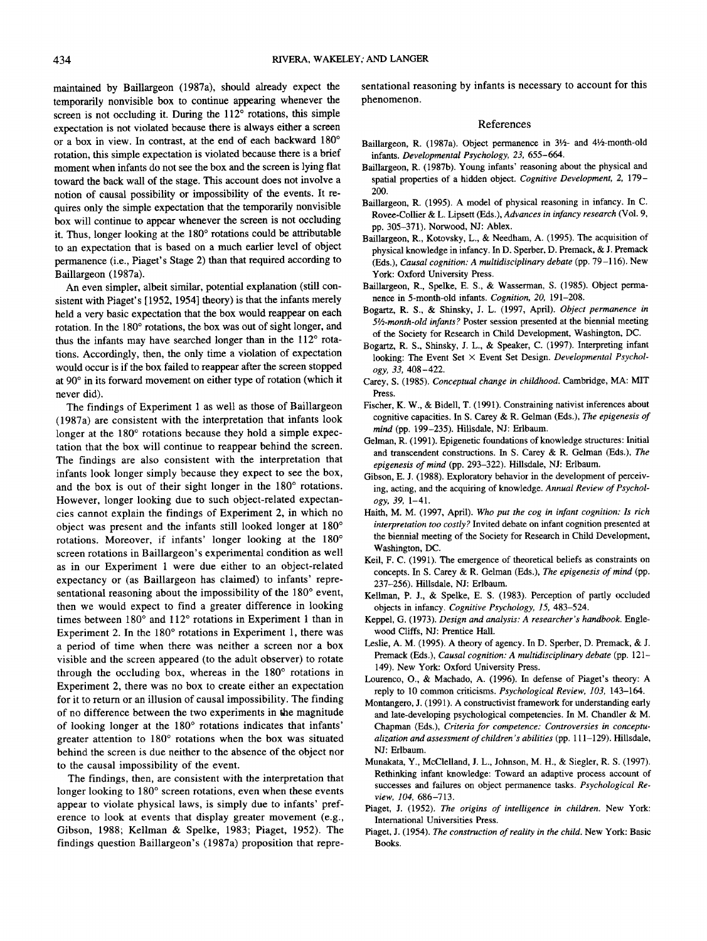maintained by Baillargeon (1987a), should already expect the temporarily nonvisible box to continue appearing whenever the screen is not occluding it. During the 112° rotations, this simple expectation is not violated because there is always either a screen or a box in view. In contrast, at the end of each backward 180° rotation, this simple expectation is violated because there is a brief moment when infants do not see the box and the screen is lying flat toward the back wall of the stage. This account does not involve a notion of causal possibility or impossibility of the events. It requires only the simple expectation that the temporarily nonvisible box will continue to appear whenever the screen is not occluding it. Thus, longer looking at the 180° rotations could be attributable to an expectation that is based on a much earlier level of object permanence (i.e., Piaget's Stage 2) than that required according to Baillargeon (1987a).

An even simpler, albeit similar, potential explanation (still consistent with Piaget's [1952, 1954] theory) is that the infants merely held a very basic expectation that the box would reappear on each rotation. In the 180° rotations, the box was out of sight longer, and thus the infants may have searched longer than in the 112° rotations. Accordingly, then, the only time a violation of expectation would occur is if the box failed to reappear after the screen stopped at 90° in its forward movement on either type of rotation (which it never did).

The findings of Experiment 1 as well as those of Baillargeon (1987a) are consistent with the interpretation that infants look longer at the 180 $^{\circ}$  rotations because they hold a simple expectation that the box will continue to reappear behind the screen. The findings are also consistent with the interpretation that infants look longer simply because they expect to see the box, and the box is out of their sight longer in the 180° rotations. However, longer looking due to such object-related expectancies cannot explain the findings of Experiment 2, in which no object was present and the infants still looked longer at 180° rotations. Moreover, if infants' longer looking at the 180° screen rotations in Baillargeon's experimental condition as well as in our Experiment 1 were due either to an object-related expectancy or (as Baillargeon has claimed) to infants' representational reasoning about the impossibility of the 180° event, then we would expect to find a greater difference in looking times between 180° and 112° rotations in Experiment 1 than in Experiment 2. In the 180° rotations in Experiment 1, there was a period of time when there was neither a screen nor a box visible and the screen appeared (to the adult observer) to rotate through the occluding box, whereas in the 180° rotations in Experiment 2, there was no box to create either an expectation for it to return or an illusion of causal impossibility. The finding of no difference between the two experiments in the magnitude of looking longer at the 180° rotations indicates that infants' greater attention to 180° rotations when the box was situated behind the screen is due neither to the absence of the object nor to the causal impossibility of the event.

The findings, then, are consistent with the interpretation that longer looking to 180° screen rotations, even when these events appear to violate physical laws, is simply due to infants' preference to look at events that display greater movement (e.g., Gibson, 1988; Kellman & Spelke, 1983; Piaget, 1952). The findings question Baillargeon's (1987a) proposition that representational reasoning by infants is necessary to account for this phenomenon.

### References

- Baillargeon, R. (1987a). Object permanence in 31/2- and 41/2-month-old infants. *Developmental Psychology, 23,* 655-664.
- Baillargeon, R. (1987b). Young infants' reasoning about the physical and spatial properties of a hidden object. *Cognitive Development, 2,* 179- 200.
- Baillargeon, R. (1995). A model of physical reasoning in infancy. In C. Rovee-Collier & L. Lipsett (Eds.), *Advances in infancy research* (Vol. 9, pp. 305-371). Norwood, NI: Ablex.
- Baillargeon, R., Kotovsky, L., & Needham, A. (1995). The acquisition of physical knowledge in infancy. In D. Sperber, D. Premack, & J. Premack (Eds.), *Causal cognition: A multidisciplinary debate* (pp. 79-116). New York: Oxford University Press.
- Baillargeon, R., Spelke, E. S., & Wasserman, S. (1985). Object permanence in 5-month-old infants. *Cognition, 20,* 191-208.
- Bogartz, R. S., & Shinsky, I. L. (1997, April). *Object permanence in 5'/2-month-old infants?* Poster session presented at the biennial meeting of the Society for Research in Child Development, Washington, DC.
- Bogartz, R. S., Shinsky, J. L., & Speaker, C. (1997). Interpreting infant looking: The Event Set X Event Set Design. *Developmental Psychology, 33,* 408-422.
- Carey, S. (1985). *Conceptual change in childhood.* Cambridge, MA: MIT Press.
- Fischer, K. W., & Bidell, T. (1991). Constraining nativist inferences about cognitive capacities. In S. Carey & R. Gelman (Eds.), *The epigenesis of mind* (pp. 199-235). Hillsdale, NI: Erlbaum.
- Gelman, R. (1991). Epigenetic foundations of knowledge structures: Initial and transcendent constructions. In S. Carey & R. Gelman (Eds.), *The epigenesis of mind* (pp. 293-322). Hillsdale, NJ: Erlbaum.
- Gibson, E. J. (1988). Exploratory behavior in the development of perceiving, acting, and the acquiring of knowledge. *Annual Review of Psychology, 39,* 1-41.
- Haith, M. M. (1997, April). *Who put the cog in infant cognition: Is rich interpretation too costly?* Invited debate on infant cognition presented at the biennial meeting of the Society for Research in Child Development, Washington, DC.
- Keil, F. C. (1991). The emergence of theoretical beliefs as constraints on concepts. In S. Carey & R. Gelman (Eds.), *The epigenesis of mind* (pp. 237-256). Hillsdale, NJ: Erlbaum.
- Kellman, P. J., & Spelke, E. S. (1983). Perception of partly occluded objects in infancy. *Cognitive Psychology, 15,* 483-524.
- Keppel, G. (1973). *Design and analysis: A researcher's handbook.* Englewood Cliffs, NJ: Prentice Hall.
- Leslie, A. M. (1995). A theory of agency. In D. Sperber, D. Premack, & J. Premack (Eds.), *Causal cognition: A multidisciplinary debate* (pp. 121- 149). New York: Oxford University Press.
- Lourenco, O., & Machado, A. (1996). In defense of Piaget's theory: A reply to 10 common criticisms. *Psychological Review, 103,* 143—164.
- Montangero, J. (1991). A constructivist framework for understanding early and late-developing psychological competencies. In M. Chandler & M. Chapman (Eds.), *Criteria for competence: Controversies in conceptualization and assessment of children's abilities* (pp. 111-129). Hillsdale, NJ: Erlbaum.
- Munakata, Y., McClelland, J. L., Johnson, M. H., & Siegler, R. S. (1997). Rethinking infant knowledge: Toward an adaptive process account of successes and failures on object permanence tasks. *Psychological Review, 104,* 686-713.
- Piaget, J. (1952). *The origins of intelligence in children.* New York: International Universities Press.
- Piaget, J. (1954). *The construction of reality in the child.* New York: Basic Books.